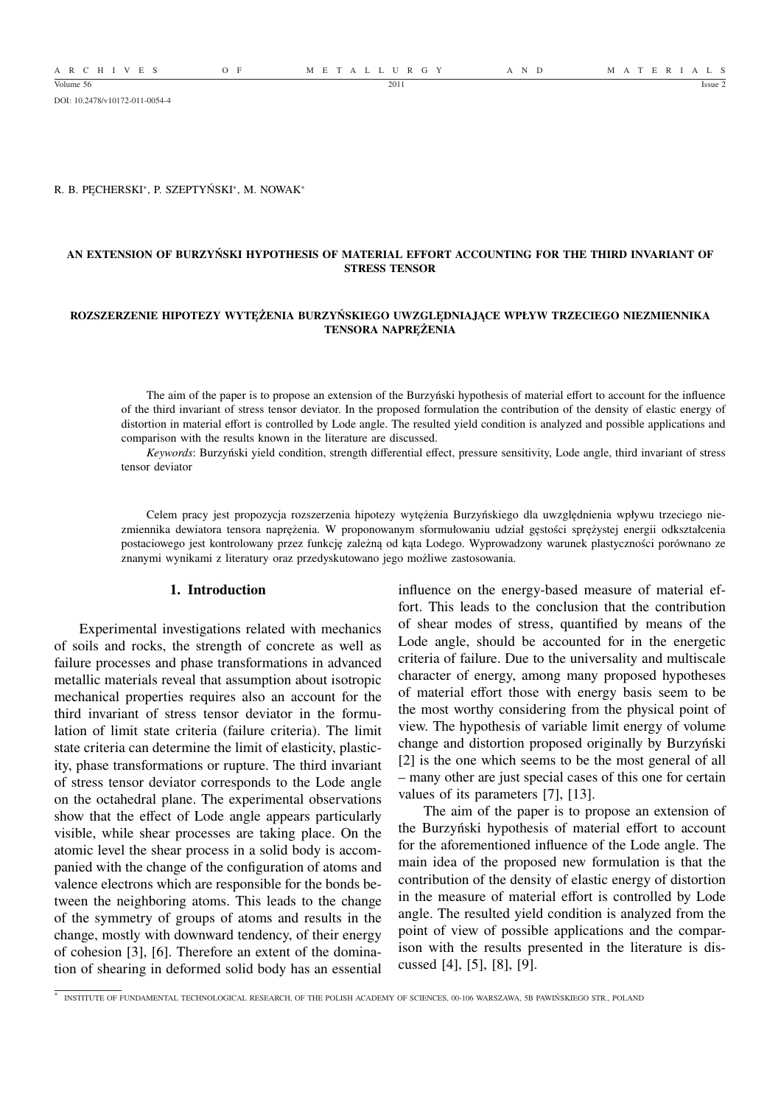DOI: 10.2478/v10172-011-0054-4

R. B. PĘCHERSKI<sup>∗</sup> , P. SZEPTYŃSKI<sup>∗</sup> , M. NOWAK<sup>∗</sup>

## **AN EXTENSION OF BURZYŃSKI HYPOTHESIS OF MATERIAL EFFORT ACCOUNTING FOR THE THIRD INVARIANT OF STRESS TENSOR**

#### **ROZSZERZENIE HIPOTEZY WYTĘŻENIA BURZYŃSKIEGO UWZGLĘDNIAJĄCE WPŁYW TRZECIEGO NIEZMIENNIKA TENSORA NAPRĘŻENIA**

The aim of the paper is to propose an extension of the Burzyński hypothesis of material effort to account for the influence of the third invariant of stress tensor deviator. In the proposed formulation the contribution of the density of elastic energy of distortion in material effort is controlled by Lode angle. The resulted yield condition is analyzed and possible applications and comparison with the results known in the literature are discussed.

*Keywords*: Burzyński yield condition, strength differential effect, pressure sensitivity, Lode angle, third invariant of stress tensor deviator

Celem pracy jest propozycja rozszerzenia hipotezy wytężenia Burzyńskiego dla uwzględnienia wpływu trzeciego niezmiennika dewiatora tensora naprężenia. W proponowanym sformułowaniu udział gęstości sprężystej energii odkształcenia postaciowego jest kontrolowany przez funkcję zależną od kąta Lodego. Wyprowadzony warunek plastyczności porównano ze znanymi wynikami z literatury oraz przedyskutowano jego możliwe zastosowania.

#### **1. Introduction**

Experimental investigations related with mechanics of soils and rocks, the strength of concrete as well as failure processes and phase transformations in advanced metallic materials reveal that assumption about isotropic mechanical properties requires also an account for the third invariant of stress tensor deviator in the formulation of limit state criteria (failure criteria). The limit state criteria can determine the limit of elasticity, plasticity, phase transformations or rupture. The third invariant of stress tensor deviator corresponds to the Lode angle on the octahedral plane. The experimental observations show that the effect of Lode angle appears particularly visible, while shear processes are taking place. On the atomic level the shear process in a solid body is accompanied with the change of the configuration of atoms and valence electrons which are responsible for the bonds between the neighboring atoms. This leads to the change of the symmetry of groups of atoms and results in the change, mostly with downward tendency, of their energy of cohesion [3], [6]. Therefore an extent of the domination of shearing in deformed solid body has an essential

influence on the energy-based measure of material effort. This leads to the conclusion that the contribution of shear modes of stress, quantified by means of the Lode angle, should be accounted for in the energetic criteria of failure. Due to the universality and multiscale character of energy, among many proposed hypotheses of material effort those with energy basis seem to be the most worthy considering from the physical point of view. The hypothesis of variable limit energy of volume change and distortion proposed originally by Burzyński [2] is the one which seems to be the most general of all – many other are just special cases of this one for certain values of its parameters [7], [13].

The aim of the paper is to propose an extension of the Burzyński hypothesis of material effort to account for the aforementioned influence of the Lode angle. The main idea of the proposed new formulation is that the contribution of the density of elastic energy of distortion in the measure of material effort is controlled by Lode angle. The resulted yield condition is analyzed from the point of view of possible applications and the comparison with the results presented in the literature is discussed [4], [5], [8], [9].

<sup>∗</sup> INSTITUTE OF FUNDAMENTAL TECHNOLOGICAL RESEARCH, OF THE POLISH ACADEMY OF SCIENCES, 00-106 WARSZAWA, 5B PAWIŃSKIEGO STR., POLAND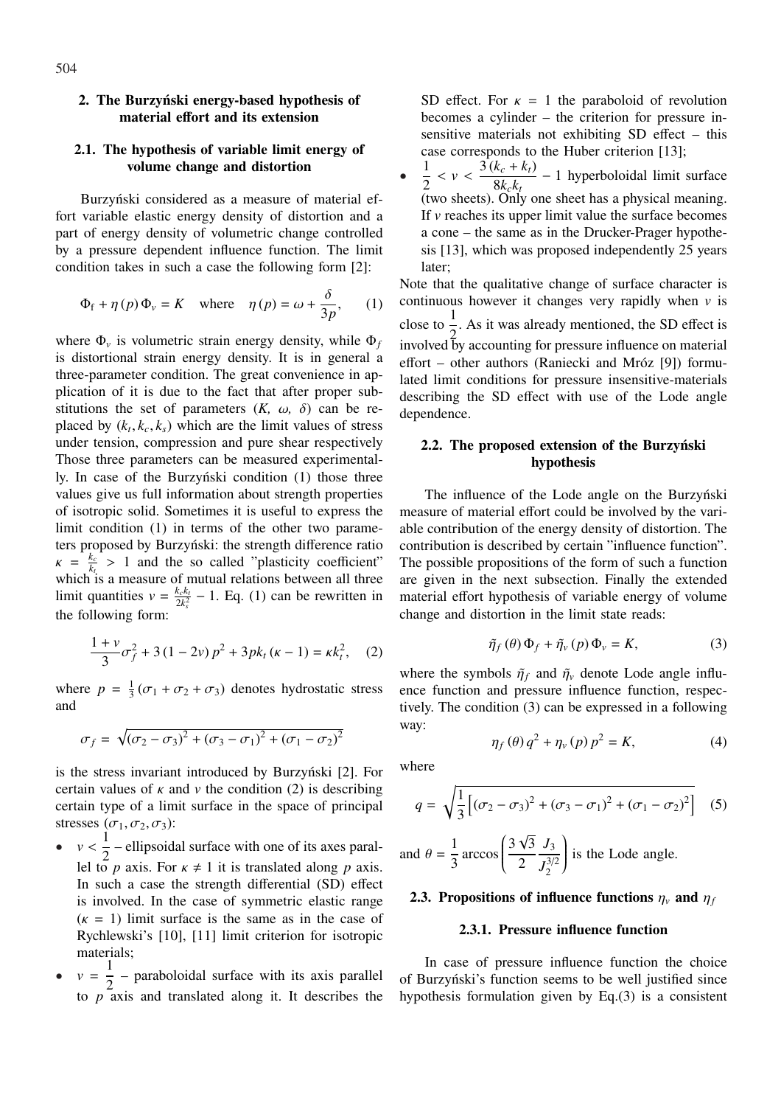## **2. The Burzyński energy-based hypothesis of material effort and its extension**

# **2.1. The hypothesis of variable limit energy of volume change and distortion**

Burzyński considered as a measure of material effort variable elastic energy density of distortion and a part of energy density of volumetric change controlled by a pressure dependent influence function. The limit condition takes in such a case the following form [2]:

$$
\Phi_{\rm f} + \eta(p)\Phi_{\rm v} = K \quad \text{where} \quad \eta(p) = \omega + \frac{\delta}{3p}, \qquad (1)
$$

where  $\Phi$ <sub>*v*</sub> is volumetric strain energy density, while  $\Phi$ <sup>*f*</sup> is distortional strain energy density. It is in general a three-parameter condition. The great convenience in application of it is due to the fact that after proper substitutions the set of parameters  $(K, \omega, \delta)$  can be replaced by  $(k_t, k_c, k_s)$  which are the limit values of stress under tension, compression and pure shear respectively Those three parameters can be measured experimentally. In case of the Burzyński condition (1) those three values give us full information about strength properties of isotropic solid. Sometimes it is useful to express the limit condition (1) in terms of the other two parameters proposed by Burzyński: the strength difference ratio  $\kappa = \frac{k_c}{k}$  $\frac{k_c}{k_l} > 1$  and the so called "plasticity coefficient" which is a measure of mutual relations between all three limit quantities  $v = \frac{k_c k_t}{2h^2}$  $\frac{k_c k_l}{2k_s^2}$  – 1. Eq. (1) can be rewritten in the following form:

$$
\frac{1+v}{3}\sigma_f^2 + 3(1-2v)p^2 + 3pk_t(\kappa - 1) = \kappa k_t^2, \quad (2)
$$

where  $p = \frac{1}{3}$  $\frac{1}{3}(\sigma_1 + \sigma_2 + \sigma_3)$  denotes hydrostatic stress and

$$
\sigma_f = \sqrt{(\sigma_2 - \sigma_3)^2 + (\sigma_3 - \sigma_1)^2 + (\sigma_1 - \sigma_2)^2}
$$

is the stress invariant introduced by Burzyński [2]. For certain values of  $\kappa$  and  $\nu$  the condition (2) is describing certain type of a limit surface in the space of principal stresses  $(\sigma_1, \sigma_2, \sigma_3)$ :

•  $v < \frac{1}{2}$  $\frac{1}{2}$  – ellipsoidal surface with one of its axes parallel to *p* axis. For  $\kappa \neq 1$  it is translated along *p* axis. In such a case the strength differential (SD) effect is involved. In the case of symmetric elastic range  $(k = 1)$  limit surface is the same as in the case of Rychlewski's [10], [11] limit criterion for isotropic materials;

•  $v = \frac{1}{2}$  $\frac{1}{2}$  – paraboloidal surface with its axis parallel to *p* axis and translated along it. It describes the SD effect. For  $\kappa = 1$  the paraboloid of revolution becomes a cylinder – the criterion for pressure insensitive materials not exhibiting SD effect – this case corresponds to the Huber criterion [13];

• 1  $\frac{1}{2} < v < \frac{3(k_c + k_t)}{8k_c k_t}$  $\frac{R_c - R_f}{8k_c k_t}$  – 1 hyperboloidal limit surface (two sheets). Only one sheet has a physical meaning. If *v* reaches its upper limit value the surface becomes a cone – the same as in the Drucker-Prager hypothesis [13], which was proposed independently 25 years later;

Note that the qualitative change of surface character is continuous however it changes very rapidly when *v* is close to  $\frac{1}{2}$ . As it was already mentioned, the SD effect is involved by accounting for pressure influence on material effort – other authors (Raniecki and Mróz [9]) formulated limit conditions for pressure insensitive-materials describing the SD effect with use of the Lode angle dependence.

# **2.2. The proposed extension of the Burzyński hypothesis**

The influence of the Lode angle on the Burzyński measure of material effort could be involved by the variable contribution of the energy density of distortion. The contribution is described by certain "influence function". The possible propositions of the form of such a function are given in the next subsection. Finally the extended material effort hypothesis of variable energy of volume change and distortion in the limit state reads:

$$
\tilde{\eta}_f(\theta)\,\Phi_f + \tilde{\eta}_v(p)\,\Phi_v = K,\tag{3}
$$

where the symbols  $\tilde{\eta}_f$  and  $\tilde{\eta}_v$  denote Lode angle influence function and pressure influence function, respectively. The condition (3) can be expressed in a following way:

$$
\eta_f(\theta) q^2 + \eta_v(p) p^2 = K,\tag{4}
$$

where

$$
q = \sqrt{\frac{1}{3} \left[ (\sigma_2 - \sigma_3)^2 + (\sigma_3 - \sigma_1)^2 + (\sigma_1 - \sigma_2)^2 \right]}
$$
 (5)

and 
$$
\theta = \frac{1}{3} \arccos \left( \frac{3\sqrt{3}}{2} \frac{J_3}{J_2^{3/2}} \right)
$$
 is the Lode angle.

# **2.3. Propositions of influence functions**  $\eta_v$  and  $\eta_f$

## **2.3.1. Pressure influence function**

In case of pressure influence function the choice of Burzyński's function seems to be well justified since hypothesis formulation given by Eq.(3) is a consistent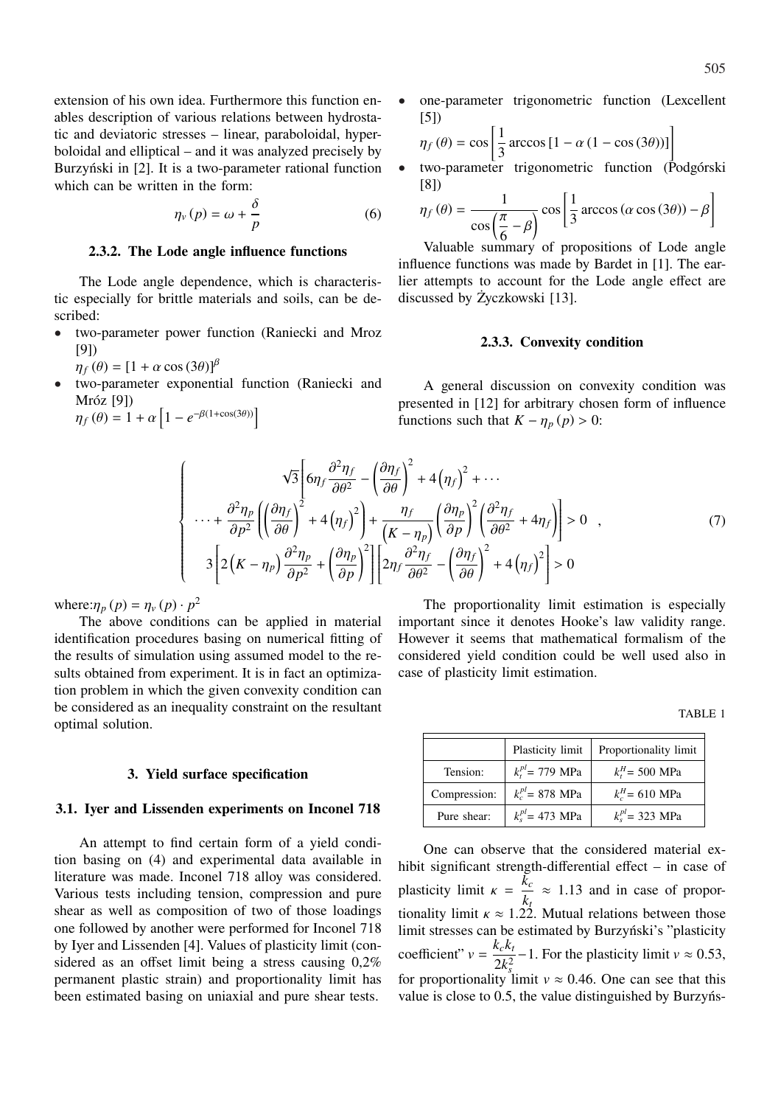extension of his own idea. Furthermore this function enables description of various relations between hydrostatic and deviatoric stresses – linear, paraboloidal, hyperboloidal and elliptical – and it was analyzed precisely by Burzyński in [2]. It is a two-parameter rational function which can be written in the form:

$$
\eta_{v}(p) = \omega + \frac{\delta}{p} \tag{6}
$$

## **2.3.2. The Lode angle influence functions**

The Lode angle dependence, which is characteristic especially for brittle materials and soils, can be described:

- two-parameter power function (Raniecki and Mroz [9])
	- $\eta_f(\theta) = [1 + \alpha \cos(3\theta)]^{\beta}$
- two-parameter exponential function (Raniecki and Mróz [9]) h

Mróz [9])  
\n
$$
\eta_f(\theta) = 1 + \alpha \left[ 1 - e^{-\beta(1 + \cos(3\theta))} \right]
$$

one-parameter trigonometric function (Lexcellent [5]) .<br>1

$$
\eta_f(\theta) = \cos\left[\frac{1}{3}\arccos\left[1 - \alpha\left(1 - \cos(3\theta)\right)\right]\right]
$$

• two-parameter trigonometric function (Podgórski [8]) .<br>1

$$
\eta_f(\theta) = \frac{1}{\cos\left(\frac{\pi}{6} - \beta\right)} \cos\left[\frac{1}{3}\arccos\left(\alpha\cos\left(3\theta\right)\right) - \beta\right]
$$

Valuable summary of propositions of Lode angle influence functions was made by Bardet in [1]. The earlier attempts to account for the Lode angle effect are discussed by Życzkowski [13].

## **2.3.3. Convexity condition**

A general discussion on convexity condition was presented in [12] for arbitrary chosen form of influence functions such that  $K - \eta_p(p) > 0$ :

$$
\begin{cases}\n\sqrt{3}\left[6\eta_f \frac{\partial^2 \eta_f}{\partial \theta^2} - \left(\frac{\partial \eta_f}{\partial \theta}\right)^2 + 4\left(\eta_f\right)^2 + \cdots \\
\cdots + \frac{\partial^2 \eta_p}{\partial p^2} \left(\left(\frac{\partial \eta_f}{\partial \theta}\right)^2 + 4\left(\eta_f\right)^2\right) + \frac{\eta_f}{\left(K - \eta_p\right)} \left(\frac{\partial \eta_p}{\partial p}\right)^2 \left(\frac{\partial^2 \eta_f}{\partial \theta^2} + 4\eta_f\right)\right] > 0 \quad , \\
3\left[2\left(K - \eta_p\right) \frac{\partial^2 \eta_p}{\partial p^2} + \left(\frac{\partial \eta_p}{\partial p}\right)^2\right] \left[2\eta_f \frac{\partial^2 \eta_f}{\partial \theta^2} - \left(\frac{\partial \eta_f}{\partial \theta}\right)^2 + 4\left(\eta_f\right)^2\right] > 0\n\end{cases} \tag{7}
$$

where: $\eta_p(p) = \eta_v(p) \cdot p^2$ 

The above conditions can be applied in material identification procedures basing on numerical fitting of the results of simulation using assumed model to the results obtained from experiment. It is in fact an optimization problem in which the given convexity condition can be considered as an inequality constraint on the resultant optimal solution.

## **3. Yield surface specification**

#### **3.1. Iyer and Lissenden experiments on Inconel 718**

An attempt to find certain form of a yield condition basing on (4) and experimental data available in literature was made. Inconel 718 alloy was considered. Various tests including tension, compression and pure shear as well as composition of two of those loadings one followed by another were performed for Inconel 718 by Iyer and Lissenden [4]. Values of plasticity limit (considered as an offset limit being a stress causing 0,2% permanent plastic strain) and proportionality limit has been estimated basing on uniaxial and pure shear tests.

The proportionality limit estimation is especially important since it denotes Hooke's law validity range. However it seems that mathematical formalism of the considered yield condition could be well used also in case of plasticity limit estimation.

TABLE 1

|              | Plasticity limit       | Proportionality limit |
|--------------|------------------------|-----------------------|
| Tension:     | $k_t^{pl}$ = 779 MPa   | $k_t^H$ = 500 MPa     |
| Compression: | $k_c^{pl}$ = 878 MPa   | $k_c^H$ = 610 MPa     |
| Pure shear:  | $k_{s}^{pl}$ = 473 MPa | $k_s^{pl}$ = 323 MPa  |

One can observe that the considered material exhibit significant strength-differential effect – in case of plasticity limit  $\kappa = \frac{\tilde{k}_c}{l}$  $\frac{hc}{k_t} \approx 1.13$  and in case of proportionality limit  $\kappa \approx 1.22$ . Mutual relations between those limit stresses can be estimated by Burzyński's "plasticity coefficient"  $v = \frac{k_c k_t}{2L^2}$ 2*k* 2 *s*  $-1$ . For the plasticity limit  $v \approx 0.53$ , for proportionality limit  $v \approx 0.46$ . One can see that this value is close to 0.5, the value distinguished by Burzyńs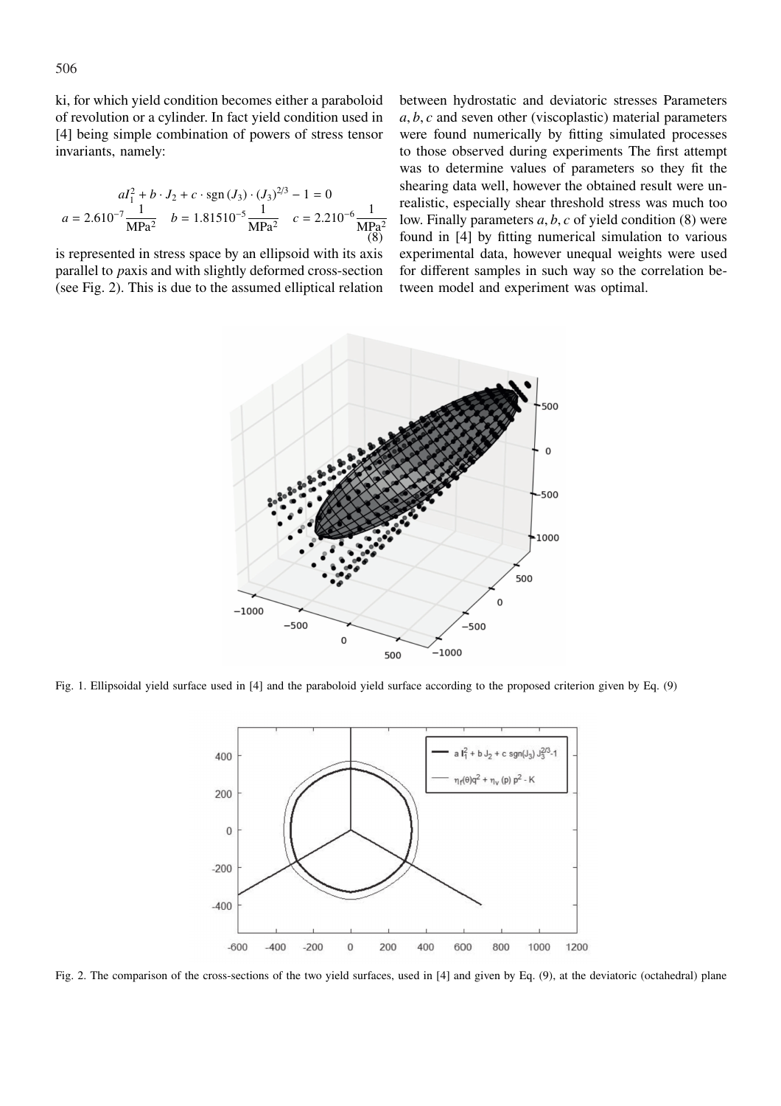ki, for which yield condition becomes either a paraboloid of revolution or a cylinder. In fact yield condition used in [4] being simple combination of powers of stress tensor invariants, namely:

$$
aI_1^2 + b \cdot J_2 + c \cdot \text{sgn}(J_3) \cdot (J_3)^{2/3} - 1 = 0
$$
  

$$
a = 2.610^{-7} \frac{1}{\text{MPa}^2} \quad b = 1.81510^{-5} \frac{1}{\text{MPa}^2} \quad c = 2.210^{-6} \frac{1}{\text{MPa}^2}
$$

is represented in stress space by an ellipsoid with its axis parallel to *p*axis and with slightly deformed cross-section (see Fig. 2). This is due to the assumed elliptical relation between hydrostatic and deviatoric stresses Parameters *a*, *b*, *c* and seven other (viscoplastic) material parameters were found numerically by fitting simulated processes to those observed during experiments The first attempt was to determine values of parameters so they fit the shearing data well, however the obtained result were unrealistic, especially shear threshold stress was much too low. Finally parameters *a*, *b*, *c* of yield condition (8) were found in [4] by fitting numerical simulation to various experimental data, however unequal weights were used for different samples in such way so the correlation between model and experiment was optimal.



Fig. 1. Ellipsoidal yield surface used in [4] and the paraboloid yield surface according to the proposed criterion given by Eq. (9)



Fig. 2. The comparison of the cross-sections of the two yield surfaces, used in [4] and given by Eq. (9), at the deviatoric (octahedral) plane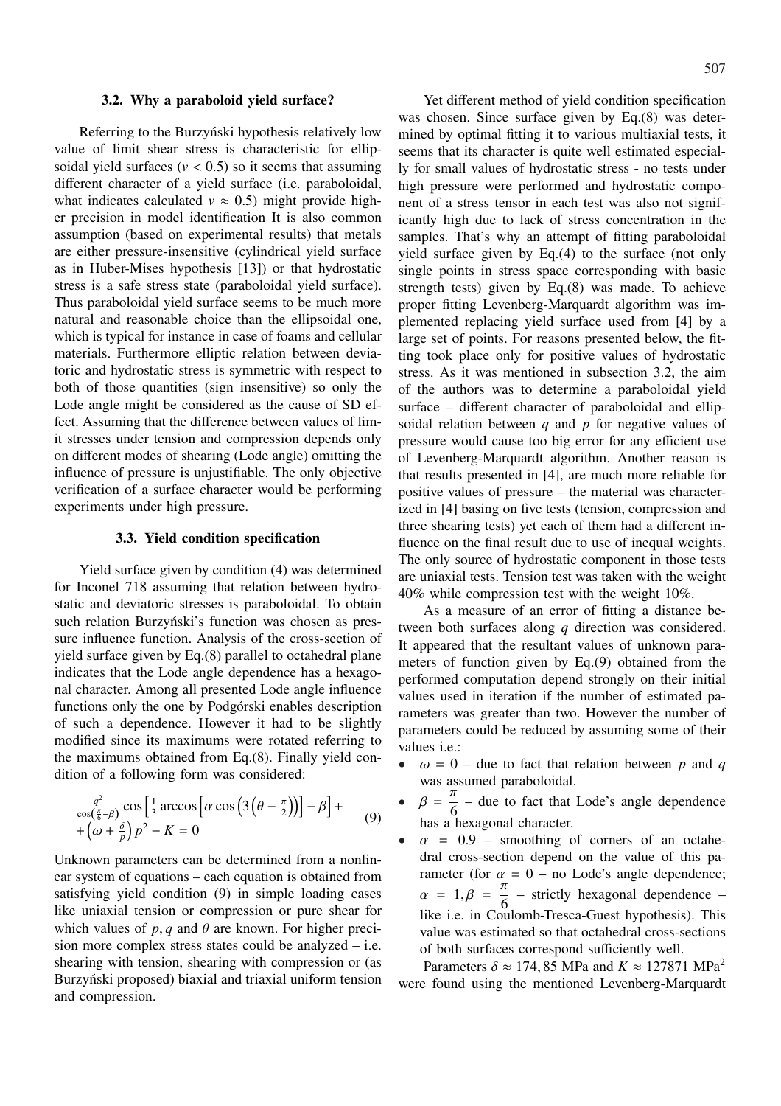#### **3.2. Why a paraboloid yield surface?**

Referring to the Burzyński hypothesis relatively low value of limit shear stress is characteristic for ellipsoidal yield surfaces  $(v < 0.5)$  so it seems that assuming different character of a yield surface (i.e. paraboloidal, what indicates calculated  $v \approx 0.5$ ) might provide higher precision in model identification It is also common assumption (based on experimental results) that metals are either pressure-insensitive (cylindrical yield surface as in Huber-Mises hypothesis [13]) or that hydrostatic stress is a safe stress state (paraboloidal yield surface). Thus paraboloidal yield surface seems to be much more natural and reasonable choice than the ellipsoidal one, which is typical for instance in case of foams and cellular materials. Furthermore elliptic relation between deviatoric and hydrostatic stress is symmetric with respect to both of those quantities (sign insensitive) so only the Lode angle might be considered as the cause of SD effect. Assuming that the difference between values of limit stresses under tension and compression depends only on different modes of shearing (Lode angle) omitting the influence of pressure is unjustifiable. The only objective verification of a surface character would be performing experiments under high pressure.

## **3.3. Yield condition specification**

Yield surface given by condition (4) was determined for Inconel 718 assuming that relation between hydrostatic and deviatoric stresses is paraboloidal. To obtain such relation Burzyński's function was chosen as pressure influence function. Analysis of the cross-section of yield surface given by Eq.(8) parallel to octahedral plane indicates that the Lode angle dependence has a hexagonal character. Among all presented Lode angle influence functions only the one by Podgórski enables description of such a dependence. However it had to be slightly modified since its maximums were rotated referring to the maximums obtained from Eq.(8). Finally yield condition of a following form was considered:

$$
\frac{q^2}{\cos(\frac{\pi}{6}-\beta)}\cos\left[\frac{1}{3}\arccos\left[\alpha\cos\left(3\left(\theta-\frac{\pi}{2}\right)\right)\right]-\beta\right]+
$$
  
 
$$
+\left(\omega+\frac{\delta}{p}\right)p^2-K=0
$$
 (9)

Unknown parameters can be determined from a nonlinear system of equations – each equation is obtained from satisfying yield condition (9) in simple loading cases like uniaxial tension or compression or pure shear for which values of  $p$ ,  $q$  and  $\theta$  are known. For higher precision more complex stress states could be analyzed – i.e. shearing with tension, shearing with compression or (as Burzyński proposed) biaxial and triaxial uniform tension and compression.

Yet different method of yield condition specification was chosen. Since surface given by Eq.(8) was determined by optimal fitting it to various multiaxial tests, it seems that its character is quite well estimated especially for small values of hydrostatic stress - no tests under high pressure were performed and hydrostatic component of a stress tensor in each test was also not significantly high due to lack of stress concentration in the samples. That's why an attempt of fitting paraboloidal yield surface given by Eq.(4) to the surface (not only single points in stress space corresponding with basic strength tests) given by Eq.(8) was made. To achieve proper fitting Levenberg-Marquardt algorithm was implemented replacing yield surface used from [4] by a large set of points. For reasons presented below, the fitting took place only for positive values of hydrostatic stress. As it was mentioned in subsection 3.2, the aim of the authors was to determine a paraboloidal yield surface – different character of paraboloidal and ellipsoidal relation between *q* and *p* for negative values of pressure would cause too big error for any efficient use of Levenberg-Marquardt algorithm. Another reason is that results presented in [4], are much more reliable for positive values of pressure – the material was characterized in [4] basing on five tests (tension, compression and three shearing tests) yet each of them had a different influence on the final result due to use of inequal weights. The only source of hydrostatic component in those tests are uniaxial tests. Tension test was taken with the weight 40% while compression test with the weight 10%.

As a measure of an error of fitting a distance between both surfaces along *q* direction was considered. It appeared that the resultant values of unknown parameters of function given by Eq.(9) obtained from the performed computation depend strongly on their initial values used in iteration if the number of estimated parameters was greater than two. However the number of parameters could be reduced by assuming some of their values i.e.:

- $\omega = 0$  due to fact that relation between p and q was assumed paraboloidal.
- $\beta = \frac{\pi}{6}$  $\frac{\lambda}{6}$  – due to fact that Lode's angle dependence has a hexagonal character.
- $\alpha$  = 0.9 smoothing of corners of an octahedral cross-section depend on the value of this parameter (for  $\alpha = 0$  – no Lode's angle dependence;  $\alpha = 1, \beta = \frac{\pi}{6}$  $\frac{\pi}{6}$  – strictly hexagonal dependence – like i.e. in Coulomb-Tresca-Guest hypothesis). This value was estimated so that octahedral cross-sections of both surfaces correspond sufficiently well.

Parameters  $\delta \approx 174, 85$  MPa and  $K \approx 127871$  MPa<sup>2</sup> were found using the mentioned Levenberg-Marquardt